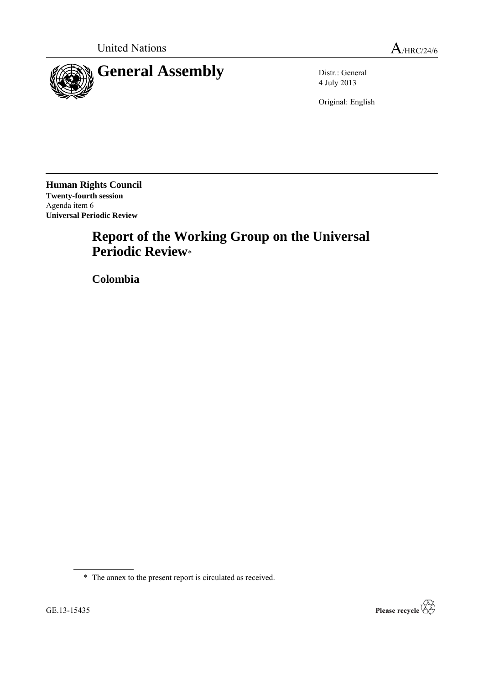

4 July 2013

Original: English

**Human Rights Council Twenty-fourth session** Agenda item 6 **Universal Periodic Review**

# **Report of the Working Group on the Universal Periodic Review**\*

**Colombia**

\* The annex to the present report is circulated as received.

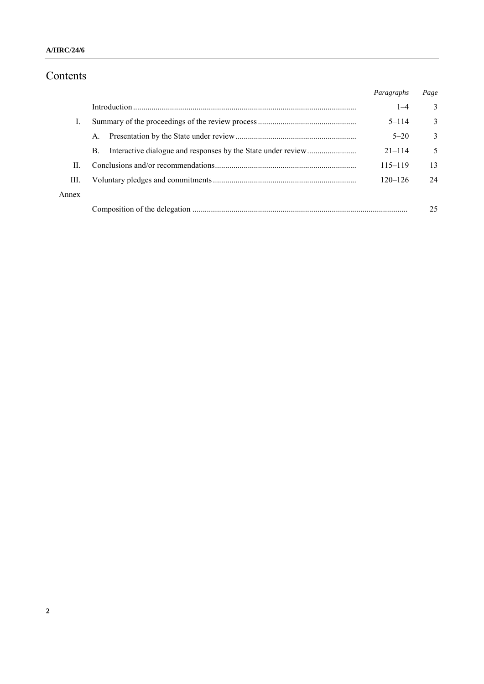# Contents

|       |             | Paragraphs  | Page |
|-------|-------------|-------------|------|
|       |             | $1 - 4$     | 3    |
| Ι.    |             | $5 - 114$   | 3    |
|       | $A_{\cdot}$ | $5 - 20$    | 3    |
|       | B.          | $21 - 114$  | 5    |
| П     |             | $115 - 119$ | 13   |
| Ш.    |             | $120 - 126$ | 24   |
| Annex |             |             |      |
|       |             |             | 25   |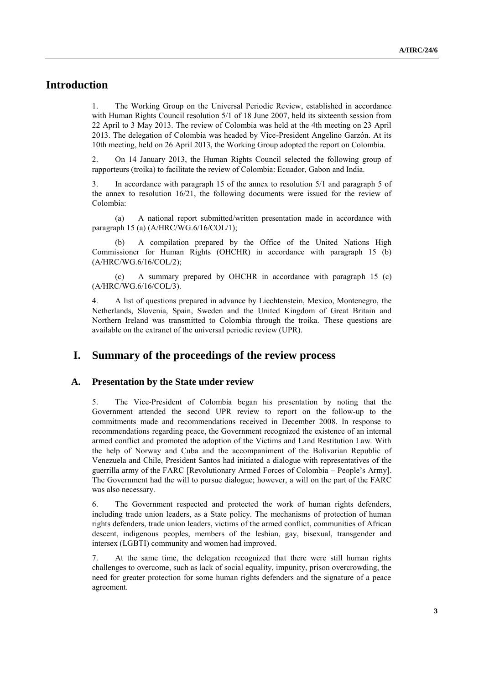# **Introduction**

1. The Working Group on the Universal Periodic Review, established in accordance with Human Rights Council resolution 5/1 of 18 June 2007, held its sixteenth session from 22 April to 3 May 2013. The review of Colombia was held at the 4th meeting on 23 April 2013. The delegation of Colombia was headed by Vice-President Angelino Garzón. At its 10th meeting, held on 26 April 2013, the Working Group adopted the report on Colombia.

2. On 14 January 2013, the Human Rights Council selected the following group of rapporteurs (troika) to facilitate the review of Colombia: Ecuador, Gabon and India.

3. In accordance with paragraph 15 of the annex to resolution 5/1 and paragraph 5 of the annex to resolution 16/21, the following documents were issued for the review of Colombia:

(a) A national report submitted/written presentation made in accordance with paragraph 15 (a) (A/HRC/WG.6/16/COL/1);

(b) A compilation prepared by the Office of the United Nations High Commissioner for Human Rights (OHCHR) in accordance with paragraph 15 (b) (A/HRC/WG.6/16/COL/2);

(c) A summary prepared by OHCHR in accordance with paragraph 15 (c) (A/HRC/WG.6/16/COL/3).

4. A list of questions prepared in advance by Liechtenstein, Mexico, Montenegro, the Netherlands, Slovenia, Spain, Sweden and the United Kingdom of Great Britain and Northern Ireland was transmitted to Colombia through the troika. These questions are available on the extranet of the universal periodic review (UPR).

## **I. Summary of the proceedings of the review process**

#### **A. Presentation by the State under review**

5. The Vice-President of Colombia began his presentation by noting that the Government attended the second UPR review to report on the follow-up to the commitments made and recommendations received in December 2008. In response to recommendations regarding peace, the Government recognized the existence of an internal armed conflict and promoted the adoption of the Victims and Land Restitution Law. With the help of Norway and Cuba and the accompaniment of the Bolivarian Republic of Venezuela and Chile, President Santos had initiated a dialogue with representatives of the guerrilla army of the FARC [Revolutionary Armed Forces of Colombia – People's Army]. The Government had the will to pursue dialogue; however, a will on the part of the FARC was also necessary.

6. The Government respected and protected the work of human rights defenders, including trade union leaders, as a State policy. The mechanisms of protection of human rights defenders, trade union leaders, victims of the armed conflict, communities of African descent, indigenous peoples, members of the lesbian, gay, bisexual, transgender and intersex (LGBTI) community and women had improved.

7. At the same time, the delegation recognized that there were still human rights challenges to overcome, such as lack of social equality, impunity, prison overcrowding, the need for greater protection for some human rights defenders and the signature of a peace agreement.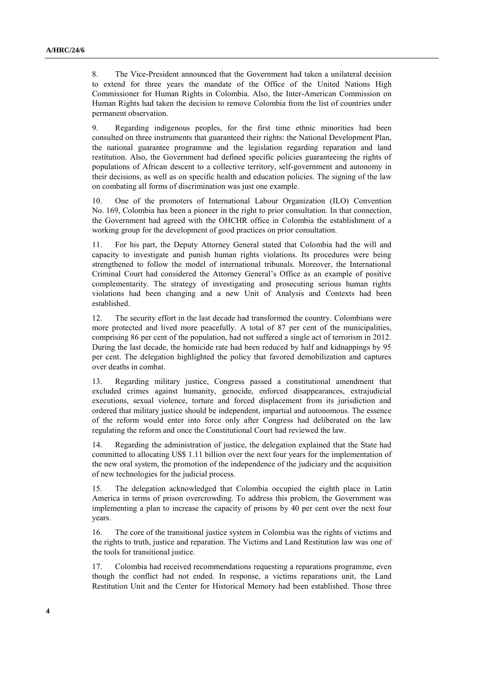8. The Vice-President announced that the Government had taken a unilateral decision to extend for three years the mandate of the Office of the United Nations High Commissioner for Human Rights in Colombia. Also, the Inter-American Commission on Human Rights had taken the decision to remove Colombia from the list of countries under permanent observation.

9. Regarding indigenous peoples, for the first time ethnic minorities had been consulted on three instruments that guaranteed their rights: the National Development Plan, the national guarantee programme and the legislation regarding reparation and land restitution. Also, the Government had defined specific policies guaranteeing the rights of populations of African descent to a collective territory, self-government and autonomy in their decisions, as well as on specific health and education policies. The signing of the law on combating all forms of discrimination was just one example.

10. One of the promoters of International Labour Organization (ILO) Convention No. 169, Colombia has been a pioneer in the right to prior consultation. In that connection, the Government had agreed with the OHCHR office in Colombia the establishment of a working group for the development of good practices on prior consultation.

11. For his part, the Deputy Attorney General stated that Colombia had the will and capacity to investigate and punish human rights violations. Its procedures were being strengthened to follow the model of international tribunals. Moreover, the International Criminal Court had considered the Attorney General's Office as an example of positive complementarity. The strategy of investigating and prosecuting serious human rights violations had been changing and a new Unit of Analysis and Contexts had been established.

12. The security effort in the last decade had transformed the country. Colombians were more protected and lived more peacefully. A total of 87 per cent of the municipalities, comprising 86 per cent of the population, had not suffered a single act of terrorism in 2012. During the last decade, the homicide rate had been reduced by half and kidnappings by 95 per cent. The delegation highlighted the policy that favored demobilization and captures over deaths in combat.

13. Regarding military justice, Congress passed a constitutional amendment that excluded crimes against humanity, genocide, enforced disappearances, extrajudicial executions, sexual violence, torture and forced displacement from its jurisdiction and ordered that military justice should be independent, impartial and autonomous. The essence of the reform would enter into force only after Congress had deliberated on the law regulating the reform and once the Constitutional Court had reviewed the law.

14. Regarding the administration of justice, the delegation explained that the State had committed to allocating US\$ 1.11 billion over the next four years for the implementation of the new oral system, the promotion of the independence of the judiciary and the acquisition of new technologies for the judicial process.

15. The delegation acknowledged that Colombia occupied the eighth place in Latin America in terms of prison overcrowding. To address this problem, the Government was implementing a plan to increase the capacity of prisons by 40 per cent over the next four years.

16. The core of the transitional justice system in Colombia was the rights of victims and the rights to truth, justice and reparation. The Victims and Land Restitution law was one of the tools for transitional justice.

17. Colombia had received recommendations requesting a reparations programme, even though the conflict had not ended. In response, a victims reparations unit, the Land Restitution Unit and the Center for Historical Memory had been established. Those three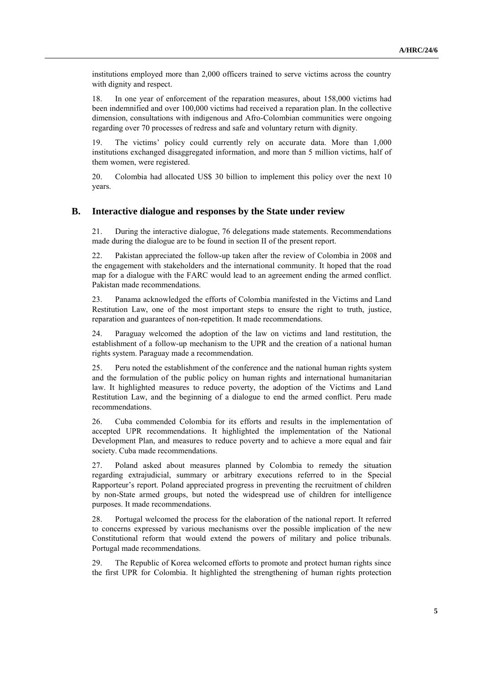institutions employed more than 2,000 officers trained to serve victims across the country with dignity and respect.

18. In one year of enforcement of the reparation measures, about 158,000 victims had been indemnified and over 100,000 victims had received a reparation plan. In the collective dimension, consultations with indigenous and Afro-Colombian communities were ongoing regarding over 70 processes of redress and safe and voluntary return with dignity.

19. The victims' policy could currently rely on accurate data. More than 1,000 institutions exchanged disaggregated information, and more than 5 million victims, half of them women, were registered.

20. Colombia had allocated US\$ 30 billion to implement this policy over the next 10 years.

#### **B. Interactive dialogue and responses by the State under review**

21. During the interactive dialogue, 76 delegations made statements. Recommendations made during the dialogue are to be found in section II of the present report.

22. Pakistan appreciated the follow-up taken after the review of Colombia in 2008 and the engagement with stakeholders and the international community. It hoped that the road map for a dialogue with the FARC would lead to an agreement ending the armed conflict. Pakistan made recommendations.

23. Panama acknowledged the efforts of Colombia manifested in the Victims and Land Restitution Law, one of the most important steps to ensure the right to truth, justice, reparation and guarantees of non-repetition. It made recommendations.

24. Paraguay welcomed the adoption of the law on victims and land restitution, the establishment of a follow-up mechanism to the UPR and the creation of a national human rights system. Paraguay made a recommendation.

25. Peru noted the establishment of the conference and the national human rights system and the formulation of the public policy on human rights and international humanitarian law. It highlighted measures to reduce poverty, the adoption of the Victims and Land Restitution Law, and the beginning of a dialogue to end the armed conflict. Peru made recommendations.

26. Cuba commended Colombia for its efforts and results in the implementation of accepted UPR recommendations. It highlighted the implementation of the National Development Plan, and measures to reduce poverty and to achieve a more equal and fair society. Cuba made recommendations.

27. Poland asked about measures planned by Colombia to remedy the situation regarding extrajudicial, summary or arbitrary executions referred to in the Special Rapporteur's report. Poland appreciated progress in preventing the recruitment of children by non-State armed groups, but noted the widespread use of children for intelligence purposes. It made recommendations.

28. Portugal welcomed the process for the elaboration of the national report. It referred to concerns expressed by various mechanisms over the possible implication of the new Constitutional reform that would extend the powers of military and police tribunals. Portugal made recommendations.

29. The Republic of Korea welcomed efforts to promote and protect human rights since the first UPR for Colombia. It highlighted the strengthening of human rights protection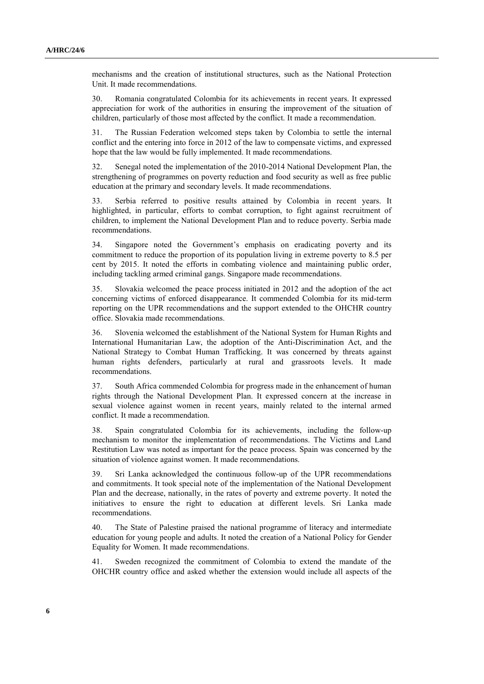mechanisms and the creation of institutional structures, such as the National Protection Unit. It made recommendations.

30. Romania congratulated Colombia for its achievements in recent years. It expressed appreciation for work of the authorities in ensuring the improvement of the situation of children, particularly of those most affected by the conflict. It made a recommendation.

31. The Russian Federation welcomed steps taken by Colombia to settle the internal conflict and the entering into force in 2012 of the law to compensate victims, and expressed hope that the law would be fully implemented. It made recommendations.

32. Senegal noted the implementation of the 2010-2014 National Development Plan, the strengthening of programmes on poverty reduction and food security as well as free public education at the primary and secondary levels. It made recommendations.

33. Serbia referred to positive results attained by Colombia in recent years. It highlighted, in particular, efforts to combat corruption, to fight against recruitment of children, to implement the National Development Plan and to reduce poverty. Serbia made recommendations.

34. Singapore noted the Government's emphasis on eradicating poverty and its commitment to reduce the proportion of its population living in extreme poverty to 8.5 per cent by 2015. It noted the efforts in combating violence and maintaining public order, including tackling armed criminal gangs. Singapore made recommendations.

35. Slovakia welcomed the peace process initiated in 2012 and the adoption of the act concerning victims of enforced disappearance. It commended Colombia for its mid-term reporting on the UPR recommendations and the support extended to the OHCHR country office. Slovakia made recommendations.

36. Slovenia welcomed the establishment of the National System for Human Rights and International Humanitarian Law, the adoption of the Anti-Discrimination Act, and the National Strategy to Combat Human Trafficking. It was concerned by threats against human rights defenders, particularly at rural and grassroots levels. It made recommendations.

37. South Africa commended Colombia for progress made in the enhancement of human rights through the National Development Plan. It expressed concern at the increase in sexual violence against women in recent years, mainly related to the internal armed conflict. It made a recommendation.

38. Spain congratulated Colombia for its achievements, including the follow-up mechanism to monitor the implementation of recommendations. The Victims and Land Restitution Law was noted as important for the peace process. Spain was concerned by the situation of violence against women. It made recommendations.

39. Sri Lanka acknowledged the continuous follow-up of the UPR recommendations and commitments. It took special note of the implementation of the National Development Plan and the decrease, nationally, in the rates of poverty and extreme poverty. It noted the initiatives to ensure the right to education at different levels. Sri Lanka made recommendations.

40. The State of Palestine praised the national programme of literacy and intermediate education for young people and adults. It noted the creation of a National Policy for Gender Equality for Women. It made recommendations.

41. Sweden recognized the commitment of Colombia to extend the mandate of the OHCHR country office and asked whether the extension would include all aspects of the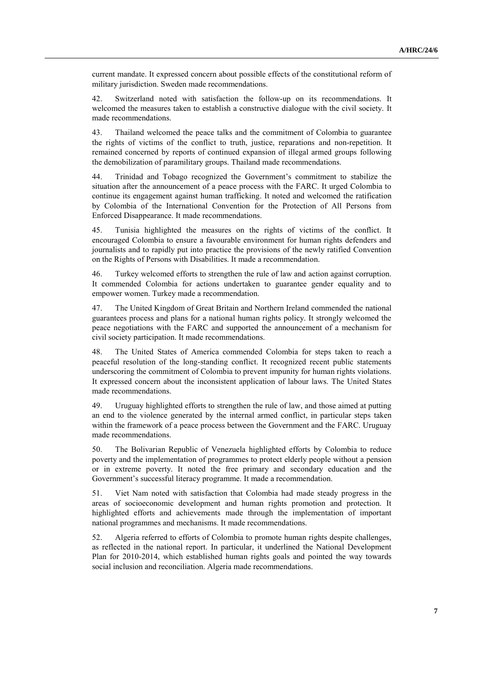current mandate. It expressed concern about possible effects of the constitutional reform of military jurisdiction. Sweden made recommendations.

42. Switzerland noted with satisfaction the follow-up on its recommendations. It welcomed the measures taken to establish a constructive dialogue with the civil society. It made recommendations.

43. Thailand welcomed the peace talks and the commitment of Colombia to guarantee the rights of victims of the conflict to truth, justice, reparations and non-repetition. It remained concerned by reports of continued expansion of illegal armed groups following the demobilization of paramilitary groups. Thailand made recommendations.

44. Trinidad and Tobago recognized the Government's commitment to stabilize the situation after the announcement of a peace process with the FARC. It urged Colombia to continue its engagement against human trafficking. It noted and welcomed the ratification by Colombia of the International Convention for the Protection of All Persons from Enforced Disappearance. It made recommendations.

45. Tunisia highlighted the measures on the rights of victims of the conflict. It encouraged Colombia to ensure a favourable environment for human rights defenders and journalists and to rapidly put into practice the provisions of the newly ratified Convention on the Rights of Persons with Disabilities. It made a recommendation.

46. Turkey welcomed efforts to strengthen the rule of law and action against corruption. It commended Colombia for actions undertaken to guarantee gender equality and to empower women. Turkey made a recommendation.

47. The United Kingdom of Great Britain and Northern Ireland commended the national guarantees process and plans for a national human rights policy. It strongly welcomed the peace negotiations with the FARC and supported the announcement of a mechanism for civil society participation. It made recommendations.

48. The United States of America commended Colombia for steps taken to reach a peaceful resolution of the long-standing conflict. It recognized recent public statements underscoring the commitment of Colombia to prevent impunity for human rights violations. It expressed concern about the inconsistent application of labour laws. The United States made recommendations.

49. Uruguay highlighted efforts to strengthen the rule of law, and those aimed at putting an end to the violence generated by the internal armed conflict, in particular steps taken within the framework of a peace process between the Government and the FARC. Uruguay made recommendations.

50. The Bolivarian Republic of Venezuela highlighted efforts by Colombia to reduce poverty and the implementation of programmes to protect elderly people without a pension or in extreme poverty. It noted the free primary and secondary education and the Government's successful literacy programme. It made a recommendation.

51. Viet Nam noted with satisfaction that Colombia had made steady progress in the areas of socioeconomic development and human rights promotion and protection. It highlighted efforts and achievements made through the implementation of important national programmes and mechanisms. It made recommendations.

52. Algeria referred to efforts of Colombia to promote human rights despite challenges, as reflected in the national report. In particular, it underlined the National Development Plan for 2010-2014, which established human rights goals and pointed the way towards social inclusion and reconciliation. Algeria made recommendations.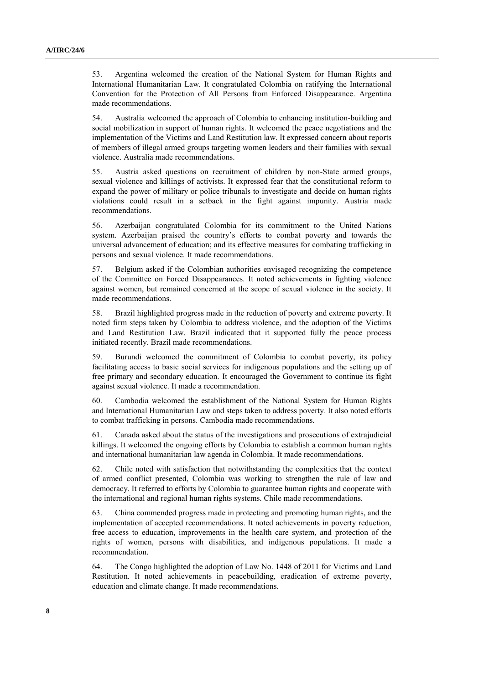53. Argentina welcomed the creation of the National System for Human Rights and International Humanitarian Law. It congratulated Colombia on ratifying the International Convention for the Protection of All Persons from Enforced Disappearance. Argentina made recommendations.

54. Australia welcomed the approach of Colombia to enhancing institution-building and social mobilization in support of human rights. It welcomed the peace negotiations and the implementation of the Victims and Land Restitution law. It expressed concern about reports of members of illegal armed groups targeting women leaders and their families with sexual violence. Australia made recommendations.

55. Austria asked questions on recruitment of children by non-State armed groups, sexual violence and killings of activists. It expressed fear that the constitutional reform to expand the power of military or police tribunals to investigate and decide on human rights violations could result in a setback in the fight against impunity. Austria made recommendations.

56. Azerbaijan congratulated Colombia for its commitment to the United Nations system. Azerbaijan praised the country's efforts to combat poverty and towards the universal advancement of education; and its effective measures for combating trafficking in persons and sexual violence. It made recommendations.

57. Belgium asked if the Colombian authorities envisaged recognizing the competence of the Committee on Forced Disappearances. It noted achievements in fighting violence against women, but remained concerned at the scope of sexual violence in the society. It made recommendations.

58. Brazil highlighted progress made in the reduction of poverty and extreme poverty. It noted firm steps taken by Colombia to address violence, and the adoption of the Victims and Land Restitution Law. Brazil indicated that it supported fully the peace process initiated recently. Brazil made recommendations.

59. Burundi welcomed the commitment of Colombia to combat poverty, its policy facilitating access to basic social services for indigenous populations and the setting up of free primary and secondary education. It encouraged the Government to continue its fight against sexual violence. It made a recommendation.

60. Cambodia welcomed the establishment of the National System for Human Rights and International Humanitarian Law and steps taken to address poverty. It also noted efforts to combat trafficking in persons. Cambodia made recommendations.

61. Canada asked about the status of the investigations and prosecutions of extrajudicial killings. It welcomed the ongoing efforts by Colombia to establish a common human rights and international humanitarian law agenda in Colombia. It made recommendations.

62. Chile noted with satisfaction that notwithstanding the complexities that the context of armed conflict presented, Colombia was working to strengthen the rule of law and democracy. It referred to efforts by Colombia to guarantee human rights and cooperate with the international and regional human rights systems. Chile made recommendations.

63. China commended progress made in protecting and promoting human rights, and the implementation of accepted recommendations. It noted achievements in poverty reduction, free access to education, improvements in the health care system, and protection of the rights of women, persons with disabilities, and indigenous populations. It made a recommendation.

64. The Congo highlighted the adoption of Law No. 1448 of 2011 for Victims and Land Restitution. It noted achievements in peacebuilding, eradication of extreme poverty, education and climate change. It made recommendations.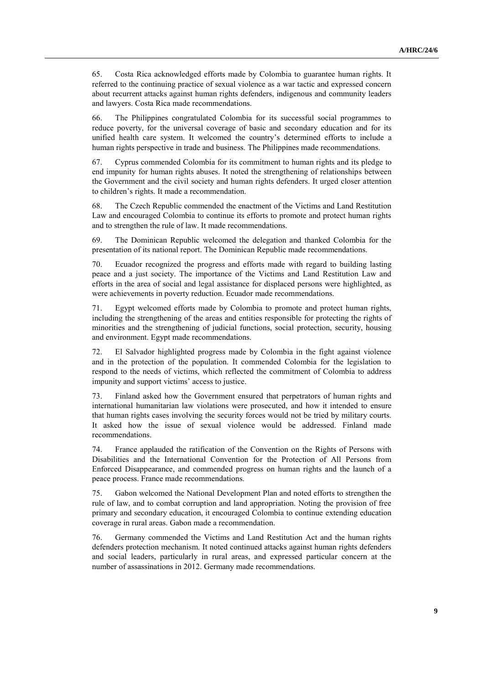65. Costa Rica acknowledged efforts made by Colombia to guarantee human rights. It referred to the continuing practice of sexual violence as a war tactic and expressed concern about recurrent attacks against human rights defenders, indigenous and community leaders and lawyers. Costa Rica made recommendations.

66. The Philippines congratulated Colombia for its successful social programmes to reduce poverty, for the universal coverage of basic and secondary education and for its unified health care system. It welcomed the country's determined efforts to include a human rights perspective in trade and business. The Philippines made recommendations.

67. Cyprus commended Colombia for its commitment to human rights and its pledge to end impunity for human rights abuses. It noted the strengthening of relationships between the Government and the civil society and human rights defenders. It urged closer attention to children's rights. It made a recommendation.

68. The Czech Republic commended the enactment of the Victims and Land Restitution Law and encouraged Colombia to continue its efforts to promote and protect human rights and to strengthen the rule of law. It made recommendations.

69. The Dominican Republic welcomed the delegation and thanked Colombia for the presentation of its national report. The Dominican Republic made recommendations.

70. Ecuador recognized the progress and efforts made with regard to building lasting peace and a just society. The importance of the Victims and Land Restitution Law and efforts in the area of social and legal assistance for displaced persons were highlighted, as were achievements in poverty reduction. Ecuador made recommendations.

71. Egypt welcomed efforts made by Colombia to promote and protect human rights, including the strengthening of the areas and entities responsible for protecting the rights of minorities and the strengthening of judicial functions, social protection, security, housing and environment. Egypt made recommendations.

72. El Salvador highlighted progress made by Colombia in the fight against violence and in the protection of the population. It commended Colombia for the legislation to respond to the needs of victims, which reflected the commitment of Colombia to address impunity and support victims' access to justice.

73. Finland asked how the Government ensured that perpetrators of human rights and international humanitarian law violations were prosecuted, and how it intended to ensure that human rights cases involving the security forces would not be tried by military courts. It asked how the issue of sexual violence would be addressed. Finland made recommendations.

74. France applauded the ratification of the Convention on the Rights of Persons with Disabilities and the International Convention for the Protection of All Persons from Enforced Disappearance, and commended progress on human rights and the launch of a peace process. France made recommendations.

75. Gabon welcomed the National Development Plan and noted efforts to strengthen the rule of law, and to combat corruption and land appropriation. Noting the provision of free primary and secondary education, it encouraged Colombia to continue extending education coverage in rural areas. Gabon made a recommendation.

76. Germany commended the Victims and Land Restitution Act and the human rights defenders protection mechanism. It noted continued attacks against human rights defenders and social leaders, particularly in rural areas, and expressed particular concern at the number of assassinations in 2012. Germany made recommendations.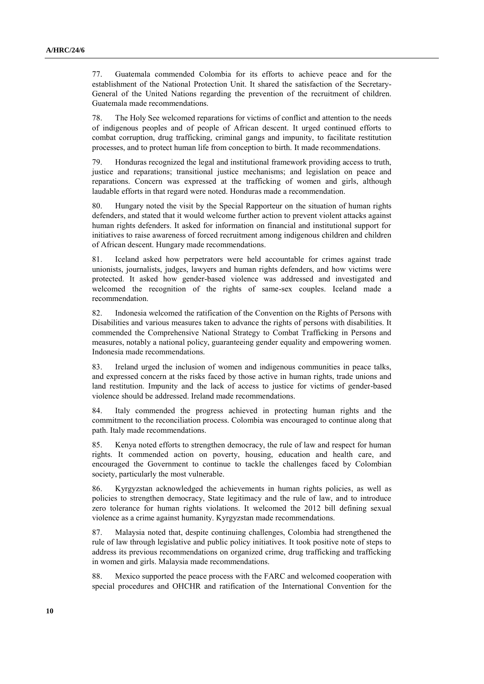77. Guatemala commended Colombia for its efforts to achieve peace and for the establishment of the National Protection Unit. It shared the satisfaction of the Secretary-General of the United Nations regarding the prevention of the recruitment of children. Guatemala made recommendations.

78. The Holy See welcomed reparations for victims of conflict and attention to the needs of indigenous peoples and of people of African descent. It urged continued efforts to combat corruption, drug trafficking, criminal gangs and impunity, to facilitate restitution processes, and to protect human life from conception to birth. It made recommendations.

79. Honduras recognized the legal and institutional framework providing access to truth, justice and reparations; transitional justice mechanisms; and legislation on peace and reparations. Concern was expressed at the trafficking of women and girls, although laudable efforts in that regard were noted. Honduras made a recommendation.

80. Hungary noted the visit by the Special Rapporteur on the situation of human rights defenders, and stated that it would welcome further action to prevent violent attacks against human rights defenders. It asked for information on financial and institutional support for initiatives to raise awareness of forced recruitment among indigenous children and children of African descent. Hungary made recommendations.

81. Iceland asked how perpetrators were held accountable for crimes against trade unionists, journalists, judges, lawyers and human rights defenders, and how victims were protected. It asked how gender-based violence was addressed and investigated and welcomed the recognition of the rights of same-sex couples. Iceland made a recommendation.

82. Indonesia welcomed the ratification of the Convention on the Rights of Persons with Disabilities and various measures taken to advance the rights of persons with disabilities. It commended the Comprehensive National Strategy to Combat Trafficking in Persons and measures, notably a national policy, guaranteeing gender equality and empowering women. Indonesia made recommendations.

83. Ireland urged the inclusion of women and indigenous communities in peace talks, and expressed concern at the risks faced by those active in human rights, trade unions and land restitution. Impunity and the lack of access to justice for victims of gender-based violence should be addressed. Ireland made recommendations.

84. Italy commended the progress achieved in protecting human rights and the commitment to the reconciliation process. Colombia was encouraged to continue along that path. Italy made recommendations.

85. Kenya noted efforts to strengthen democracy, the rule of law and respect for human rights. It commended action on poverty, housing, education and health care, and encouraged the Government to continue to tackle the challenges faced by Colombian society, particularly the most vulnerable.

86. Kyrgyzstan acknowledged the achievements in human rights policies, as well as policies to strengthen democracy, State legitimacy and the rule of law, and to introduce zero tolerance for human rights violations. It welcomed the 2012 bill defining sexual violence as a crime against humanity. Kyrgyzstan made recommendations.

87. Malaysia noted that, despite continuing challenges, Colombia had strengthened the rule of law through legislative and public policy initiatives. It took positive note of steps to address its previous recommendations on organized crime, drug trafficking and trafficking in women and girls. Malaysia made recommendations.

88. Mexico supported the peace process with the FARC and welcomed cooperation with special procedures and OHCHR and ratification of the International Convention for the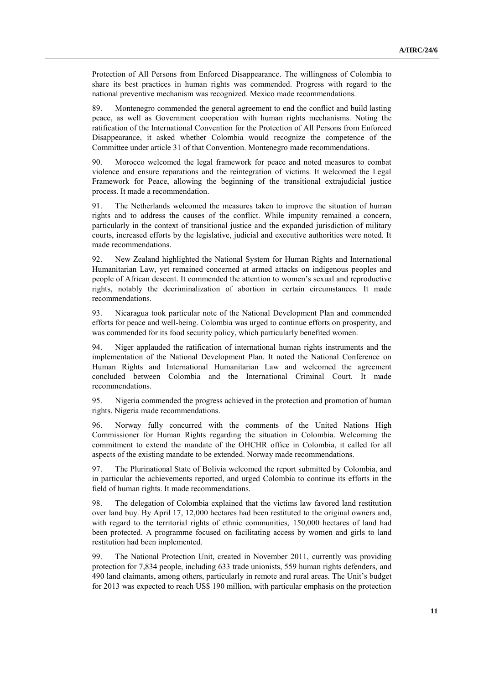Protection of All Persons from Enforced Disappearance. The willingness of Colombia to share its best practices in human rights was commended. Progress with regard to the national preventive mechanism was recognized. Mexico made recommendations.

89. Montenegro commended the general agreement to end the conflict and build lasting peace, as well as Government cooperation with human rights mechanisms. Noting the ratification of the International Convention for the Protection of All Persons from Enforced Disappearance, it asked whether Colombia would recognize the competence of the Committee under article 31 of that Convention. Montenegro made recommendations.

90. Morocco welcomed the legal framework for peace and noted measures to combat violence and ensure reparations and the reintegration of victims. It welcomed the Legal Framework for Peace, allowing the beginning of the transitional extrajudicial justice process. It made a recommendation.

91. The Netherlands welcomed the measures taken to improve the situation of human rights and to address the causes of the conflict. While impunity remained a concern, particularly in the context of transitional justice and the expanded jurisdiction of military courts, increased efforts by the legislative, judicial and executive authorities were noted. It made recommendations.

92. New Zealand highlighted the National System for Human Rights and International Humanitarian Law, yet remained concerned at armed attacks on indigenous peoples and people of African descent. It commended the attention to women's sexual and reproductive rights, notably the decriminalization of abortion in certain circumstances. It made recommendations.

93. Nicaragua took particular note of the National Development Plan and commended efforts for peace and well-being. Colombia was urged to continue efforts on prosperity, and was commended for its food security policy, which particularly benefited women.

94. Niger applauded the ratification of international human rights instruments and the implementation of the National Development Plan. It noted the National Conference on Human Rights and International Humanitarian Law and welcomed the agreement concluded between Colombia and the International Criminal Court. It made recommendations.

95. Nigeria commended the progress achieved in the protection and promotion of human rights. Nigeria made recommendations.

96. Norway fully concurred with the comments of the United Nations High Commissioner for Human Rights regarding the situation in Colombia. Welcoming the commitment to extend the mandate of the OHCHR office in Colombia, it called for all aspects of the existing mandate to be extended. Norway made recommendations.

97. The Plurinational State of Bolivia welcomed the report submitted by Colombia, and in particular the achievements reported, and urged Colombia to continue its efforts in the field of human rights. It made recommendations.

98. The delegation of Colombia explained that the victims law favored land restitution over land buy. By April 17, 12,000 hectares had been restituted to the original owners and, with regard to the territorial rights of ethnic communities, 150,000 hectares of land had been protected. A programme focused on facilitating access by women and girls to land restitution had been implemented.

99. The National Protection Unit, created in November 2011, currently was providing protection for 7,834 people, including 633 trade unionists, 559 human rights defenders, and 490 land claimants, among others, particularly in remote and rural areas. The Unit's budget for 2013 was expected to reach US\$ 190 million, with particular emphasis on the protection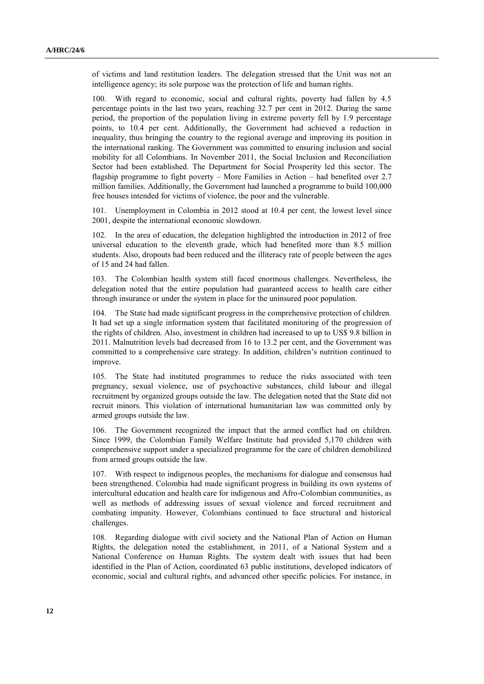of victims and land restitution leaders. The delegation stressed that the Unit was not an intelligence agency; its sole purpose was the protection of life and human rights.

100. With regard to economic, social and cultural rights, poverty had fallen by 4.5 percentage points in the last two years, reaching 32.7 per cent in 2012. During the same period, the proportion of the population living in extreme poverty fell by 1.9 percentage points, to 10.4 per cent. Additionally, the Government had achieved a reduction in inequality, thus bringing the country to the regional average and improving its position in the international ranking. The Government was committed to ensuring inclusion and social mobility for all Colombians. In November 2011, the Social Inclusion and Reconciliation Sector had been established. The Department for Social Prosperity led this sector. The flagship programme to fight poverty – More Families in Action – had benefited over 2.7 million families. Additionally, the Government had launched a programme to build 100,000 free houses intended for victims of violence, the poor and the vulnerable.

101. Unemployment in Colombia in 2012 stood at 10.4 per cent, the lowest level since 2001, despite the international economic slowdown.

102. In the area of education, the delegation highlighted the introduction in 2012 of free universal education to the eleventh grade, which had benefited more than 8.5 million students. Also, dropouts had been reduced and the illiteracy rate of people between the ages of 15 and 24 had fallen.

103. The Colombian health system still faced enormous challenges. Nevertheless, the delegation noted that the entire population had guaranteed access to health care either through insurance or under the system in place for the uninsured poor population.

104. The State had made significant progress in the comprehensive protection of children. It had set up a single information system that facilitated monitoring of the progression of the rights of children. Also, investment in children had increased to up to US\$ 9.8 billion in 2011. Malnutrition levels had decreased from 16 to 13.2 per cent, and the Government was committed to a comprehensive care strategy. In addition, children's nutrition continued to improve.

105. The State had instituted programmes to reduce the risks associated with teen pregnancy, sexual violence, use of psychoactive substances, child labour and illegal recruitment by organized groups outside the law. The delegation noted that the State did not recruit minors. This violation of international humanitarian law was committed only by armed groups outside the law.

106. The Government recognized the impact that the armed conflict had on children. Since 1999, the Colombian Family Welfare Institute had provided 5,170 children with comprehensive support under a specialized programme for the care of children demobilized from armed groups outside the law.

107. With respect to indigenous peoples, the mechanisms for dialogue and consensus had been strengthened. Colombia had made significant progress in building its own systems of intercultural education and health care for indigenous and Afro-Colombian communities, as well as methods of addressing issues of sexual violence and forced recruitment and combating impunity. However, Colombians continued to face structural and historical challenges.

108. Regarding dialogue with civil society and the National Plan of Action on Human Rights, the delegation noted the establishment, in 2011, of a National System and a National Conference on Human Rights. The system dealt with issues that had been identified in the Plan of Action, coordinated 63 public institutions, developed indicators of economic, social and cultural rights, and advanced other specific policies. For instance, in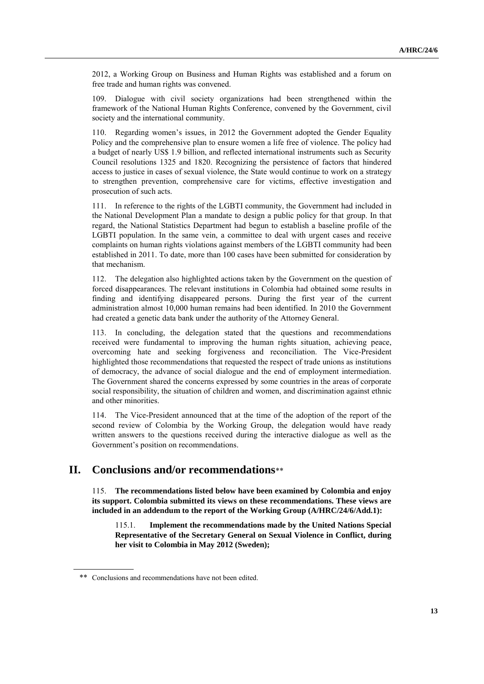2012, a Working Group on Business and Human Rights was established and a forum on free trade and human rights was convened.

109. Dialogue with civil society organizations had been strengthened within the framework of the National Human Rights Conference, convened by the Government, civil society and the international community.

110. Regarding women's issues, in 2012 the Government adopted the Gender Equality Policy and the comprehensive plan to ensure women a life free of violence. The policy had a budget of nearly US\$ 1.9 billion, and reflected international instruments such as Security Council resolutions 1325 and 1820. Recognizing the persistence of factors that hindered access to justice in cases of sexual violence, the State would continue to work on a strategy to strengthen prevention, comprehensive care for victims, effective investigation and prosecution of such acts.

111. In reference to the rights of the LGBTI community, the Government had included in the National Development Plan a mandate to design a public policy for that group. In that regard, the National Statistics Department had begun to establish a baseline profile of the LGBTI population. In the same vein, a committee to deal with urgent cases and receive complaints on human rights violations against members of the LGBTI community had been established in 2011. To date, more than 100 cases have been submitted for consideration by that mechanism.

112. The delegation also highlighted actions taken by the Government on the question of forced disappearances. The relevant institutions in Colombia had obtained some results in finding and identifying disappeared persons. During the first year of the current administration almost 10,000 human remains had been identified. In 2010 the Government had created a genetic data bank under the authority of the Attorney General.

113. In concluding, the delegation stated that the questions and recommendations received were fundamental to improving the human rights situation, achieving peace, overcoming hate and seeking forgiveness and reconciliation. The Vice-President highlighted those recommendations that requested the respect of trade unions as institutions of democracy, the advance of social dialogue and the end of employment intermediation. The Government shared the concerns expressed by some countries in the areas of corporate social responsibility, the situation of children and women, and discrimination against ethnic and other minorities.

114. The Vice-President announced that at the time of the adoption of the report of the second review of Colombia by the Working Group, the delegation would have ready written answers to the questions received during the interactive dialogue as well as the Government's position on recommendations.

# **II. Conclusions and/or recommendations**\*\*

115. **The recommendations listed below have been examined by Colombia and enjoy its support. Colombia submitted its views on these recommendations. These views are included in an addendum to the report of the Working Group (A/HRC/24/6/Add.1):**

115.1. **Implement the recommendations made by the United Nations Special Representative of the Secretary General on Sexual Violence in Conflict, during her visit to Colombia in May 2012 (Sweden);**

<sup>\*\*</sup> Conclusions and recommendations have not been edited.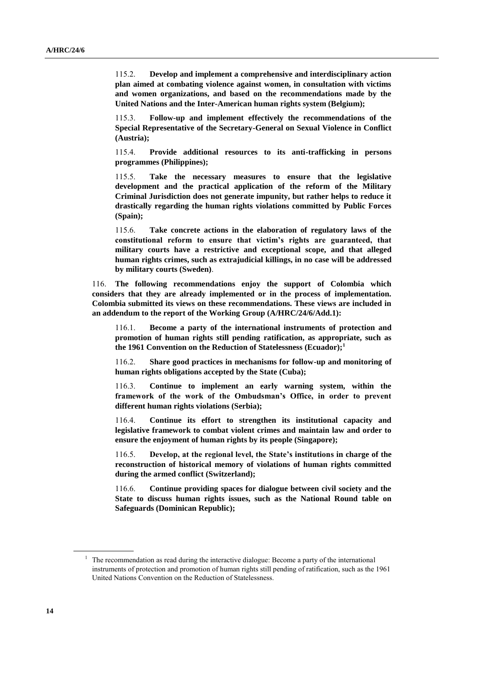115.2. **Develop and implement a comprehensive and interdisciplinary action plan aimed at combating violence against women, in consultation with victims and women organizations, and based on the recommendations made by the United Nations and the Inter-American human rights system (Belgium);**

115.3. **Follow-up and implement effectively the recommendations of the Special Representative of the Secretary-General on Sexual Violence in Conflict (Austria);**

115.4. **Provide additional resources to its anti-trafficking in persons programmes (Philippines);**

115.5. **Take the necessary measures to ensure that the legislative development and the practical application of the reform of the Military Criminal Jurisdiction does not generate impunity, but rather helps to reduce it drastically regarding the human rights violations committed by Public Forces (Spain);**

115.6. **Take concrete actions in the elaboration of regulatory laws of the constitutional reform to ensure that victim's rights are guaranteed, that military courts have a restrictive and exceptional scope, and that alleged human rights crimes, such as extrajudicial killings, in no case will be addressed by military courts (Sweden)**.

116. **The following recommendations enjoy the support of Colombia which considers that they are already implemented or in the process of implementation. Colombia submitted its views on these recommendations. These views are included in an addendum to the report of the Working Group (A/HRC/24/6/Add.1):**

116.1. **Become a party of the international instruments of protection and promotion of human rights still pending ratification, as appropriate, such as the 1961 Convention on the Reduction of Statelessness (Ecuador);<sup>1</sup>**

116.2. **Share good practices in mechanisms for follow-up and monitoring of human rights obligations accepted by the State (Cuba);**

116.3. **Continue to implement an early warning system, within the framework of the work of the Ombudsman's Office, in order to prevent different human rights violations (Serbia);**

116.4. **Continue its effort to strengthen its institutional capacity and legislative framework to combat violent crimes and maintain law and order to ensure the enjoyment of human rights by its people (Singapore);**

116.5. **Develop, at the regional level, the State's institutions in charge of the reconstruction of historical memory of violations of human rights committed during the armed conflict (Switzerland);**

116.6. **Continue providing spaces for dialogue between civil society and the State to discuss human rights issues, such as the National Round table on Safeguards (Dominican Republic);**

<sup>&</sup>lt;sup>1</sup> The recommendation as read during the interactive dialogue: Become a party of the international instruments of protection and promotion of human rights still pending of ratification, such as the 1961 United Nations Convention on the Reduction of Statelessness.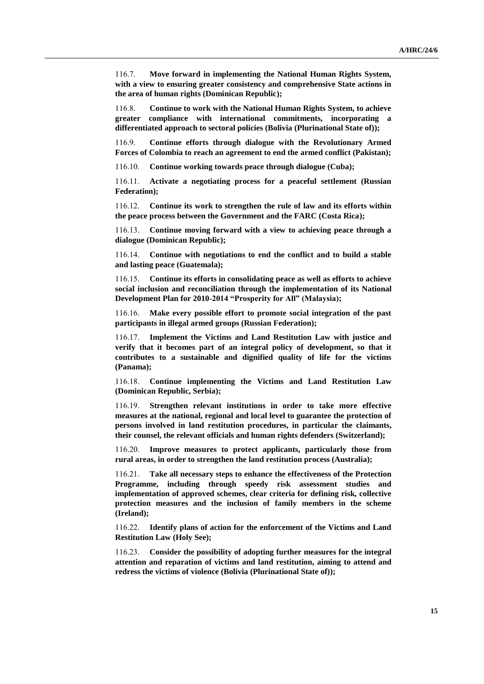116.7. **Move forward in implementing the National Human Rights System, with a view to ensuring greater consistency and comprehensive State actions in the area of human rights (Dominican Republic);**

116.8. **Continue to work with the National Human Rights System, to achieve greater compliance with international commitments, incorporating a differentiated approach to sectoral policies (Bolivia (Plurinational State of));**

116.9. **Continue efforts through dialogue with the Revolutionary Armed Forces of Colombia to reach an agreement to end the armed conflict (Pakistan);**

116.10. **Continue working towards peace through dialogue (Cuba);**

116.11. **Activate a negotiating process for a peaceful settlement (Russian Federation);**

116.12. **Continue its work to strengthen the rule of law and its efforts within the peace process between the Government and the FARC (Costa Rica);**

116.13. **Continue moving forward with a view to achieving peace through a dialogue (Dominican Republic);**

116.14. **Continue with negotiations to end the conflict and to build a stable and lasting peace (Guatemala);**

116.15. **Continue its efforts in consolidating peace as well as efforts to achieve social inclusion and reconciliation through the implementation of its National Development Plan for 2010-2014 "Prosperity for All" (Malaysia);**

116.16. **Make every possible effort to promote social integration of the past participants in illegal armed groups (Russian Federation);**

116.17. **Implement the Victims and Land Restitution Law with justice and verify that it becomes part of an integral policy of development, so that it contributes to a sustainable and dignified quality of life for the victims (Panama);**

116.18. **Continue implementing the Victims and Land Restitution Law (Dominican Republic, Serbia);**

116.19. **Strengthen relevant institutions in order to take more effective measures at the national, regional and local level to guarantee the protection of persons involved in land restitution procedures, in particular the claimants, their counsel, the relevant officials and human rights defenders (Switzerland);**

116.20. **Improve measures to protect applicants, particularly those from rural areas, in order to strengthen the land restitution process (Australia);**

116.21. **Take all necessary steps to enhance the effectiveness of the Protection Programme, including through speedy risk assessment studies and implementation of approved schemes, clear criteria for defining risk, collective protection measures and the inclusion of family members in the scheme (Ireland);**

116.22. **Identify plans of action for the enforcement of the Victims and Land Restitution Law (Holy See);**

116.23. **Consider the possibility of adopting further measures for the integral attention and reparation of victims and land restitution, aiming to attend and redress the victims of violence (Bolivia (Plurinational State of));**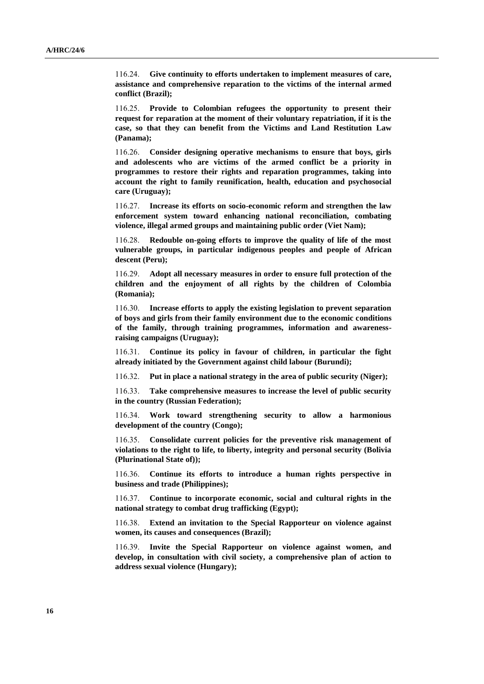116.24. **Give continuity to efforts undertaken to implement measures of care, assistance and comprehensive reparation to the victims of the internal armed conflict (Brazil);**

116.25. **Provide to Colombian refugees the opportunity to present their request for reparation at the moment of their voluntary repatriation, if it is the case, so that they can benefit from the Victims and Land Restitution Law (Panama);**

116.26. **Consider designing operative mechanisms to ensure that boys, girls and adolescents who are victims of the armed conflict be a priority in programmes to restore their rights and reparation programmes, taking into account the right to family reunification, health, education and psychosocial care (Uruguay);**

116.27. **Increase its efforts on socio-economic reform and strengthen the law enforcement system toward enhancing national reconciliation, combating violence, illegal armed groups and maintaining public order (Viet Nam);**

116.28. **Redouble on-going efforts to improve the quality of life of the most vulnerable groups, in particular indigenous peoples and people of African descent (Peru);**

116.29. **Adopt all necessary measures in order to ensure full protection of the children and the enjoyment of all rights by the children of Colombia (Romania);**

116.30. **Increase efforts to apply the existing legislation to prevent separation of boys and girls from their family environment due to the economic conditions of the family, through training programmes, information and awarenessraising campaigns (Uruguay);**

116.31. **Continue its policy in favour of children, in particular the fight already initiated by the Government against child labour (Burundi);**

116.32. **Put in place a national strategy in the area of public security (Niger);**

116.33. **Take comprehensive measures to increase the level of public security in the country (Russian Federation);**

116.34. **Work toward strengthening security to allow a harmonious development of the country (Congo);**

116.35. **Consolidate current policies for the preventive risk management of violations to the right to life, to liberty, integrity and personal security (Bolivia (Plurinational State of));**

116.36. **Continue its efforts to introduce a human rights perspective in business and trade (Philippines);**

116.37. **Continue to incorporate economic, social and cultural rights in the national strategy to combat drug trafficking (Egypt);**

116.38. **Extend an invitation to the Special Rapporteur on violence against women, its causes and consequences (Brazil);**

116.39. **Invite the Special Rapporteur on violence against women, and develop, in consultation with civil society, a comprehensive plan of action to address sexual violence (Hungary);**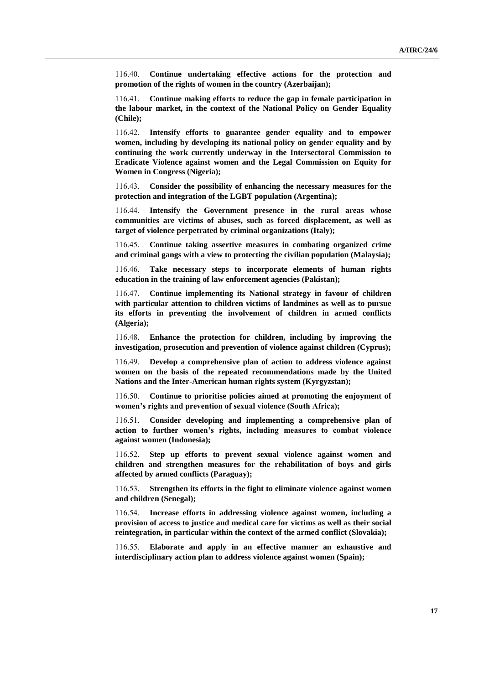116.40. **Continue undertaking effective actions for the protection and promotion of the rights of women in the country (Azerbaijan);**

116.41. **Continue making efforts to reduce the gap in female participation in the labour market, in the context of the National Policy on Gender Equality (Chile);**

116.42. **Intensify efforts to guarantee gender equality and to empower women, including by developing its national policy on gender equality and by continuing the work currently underway in the Intersectoral Commission to Eradicate Violence against women and the Legal Commission on Equity for Women in Congress (Nigeria);**

116.43. **Consider the possibility of enhancing the necessary measures for the protection and integration of the LGBT population (Argentina);**

116.44. **Intensify the Government presence in the rural areas whose communities are victims of abuses, such as forced displacement, as well as target of violence perpetrated by criminal organizations (Italy);**

116.45. **Continue taking assertive measures in combating organized crime and criminal gangs with a view to protecting the civilian population (Malaysia);**

116.46. **Take necessary steps to incorporate elements of human rights education in the training of law enforcement agencies (Pakistan);**

116.47. **Continue implementing its National strategy in favour of children with particular attention to children victims of landmines as well as to pursue its efforts in preventing the involvement of children in armed conflicts (Algeria);**

116.48. **Enhance the protection for children, including by improving the investigation, prosecution and prevention of violence against children (Cyprus);**

116.49. **Develop a comprehensive plan of action to address violence against women on the basis of the repeated recommendations made by the United Nations and the Inter-American human rights system (Kyrgyzstan);**

116.50. **Continue to prioritise policies aimed at promoting the enjoyment of women's rights and prevention of sexual violence (South Africa);**

116.51. **Consider developing and implementing a comprehensive plan of action to further women's rights, including measures to combat violence against women (Indonesia);**

116.52. **Step up efforts to prevent sexual violence against women and children and strengthen measures for the rehabilitation of boys and girls affected by armed conflicts (Paraguay);**

116.53. **Strengthen its efforts in the fight to eliminate violence against women and children (Senegal);**

116.54. **Increase efforts in addressing violence against women, including a provision of access to justice and medical care for victims as well as their social reintegration, in particular within the context of the armed conflict (Slovakia);**

116.55. **Elaborate and apply in an effective manner an exhaustive and interdisciplinary action plan to address violence against women (Spain);**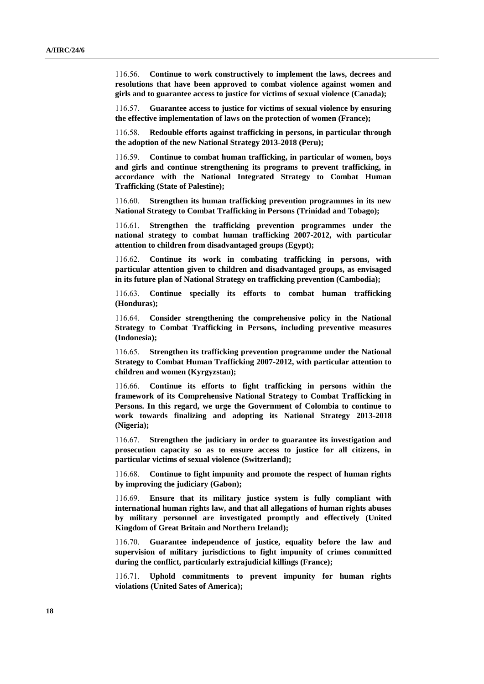116.56. **Continue to work constructively to implement the laws, decrees and resolutions that have been approved to combat violence against women and girls and to guarantee access to justice for victims of sexual violence (Canada);**

116.57. **Guarantee access to justice for victims of sexual violence by ensuring the effective implementation of laws on the protection of women (France);**

116.58. **Redouble efforts against trafficking in persons, in particular through the adoption of the new National Strategy 2013-2018 (Peru);**

116.59. **Continue to combat human trafficking, in particular of women, boys and girls and continue strengthening its programs to prevent trafficking, in accordance with the National Integrated Strategy to Combat Human Trafficking (State of Palestine);**

116.60. **Strengthen its human trafficking prevention programmes in its new National Strategy to Combat Trafficking in Persons (Trinidad and Tobago);**

116.61. **Strengthen the trafficking prevention programmes under the national strategy to combat human trafficking 2007-2012, with particular attention to children from disadvantaged groups (Egypt);**

116.62. **Continue its work in combating trafficking in persons, with particular attention given to children and disadvantaged groups, as envisaged in its future plan of National Strategy on trafficking prevention (Cambodia);**

116.63. **Continue specially its efforts to combat human trafficking (Honduras);**

116.64. **Consider strengthening the comprehensive policy in the National Strategy to Combat Trafficking in Persons, including preventive measures (Indonesia);**

116.65. **Strengthen its trafficking prevention programme under the National Strategy to Combat Human Trafficking 2007-2012, with particular attention to children and women (Kyrgyzstan);**

116.66. **Continue its efforts to fight trafficking in persons within the framework of its Comprehensive National Strategy to Combat Trafficking in Persons. In this regard, we urge the Government of Colombia to continue to work towards finalizing and adopting its National Strategy 2013-2018 (Nigeria);**

116.67. **Strengthen the judiciary in order to guarantee its investigation and prosecution capacity so as to ensure access to justice for all citizens, in particular victims of sexual violence (Switzerland);**

116.68. **Continue to fight impunity and promote the respect of human rights by improving the judiciary (Gabon);**

116.69. **Ensure that its military justice system is fully compliant with international human rights law, and that all allegations of human rights abuses by military personnel are investigated promptly and effectively (United Kingdom of Great Britain and Northern Ireland);**

116.70. **Guarantee independence of justice, equality before the law and supervision of military jurisdictions to fight impunity of crimes committed during the conflict, particularly extrajudicial killings (France);**

116.71. **Uphold commitments to prevent impunity for human rights violations (United Sates of America);**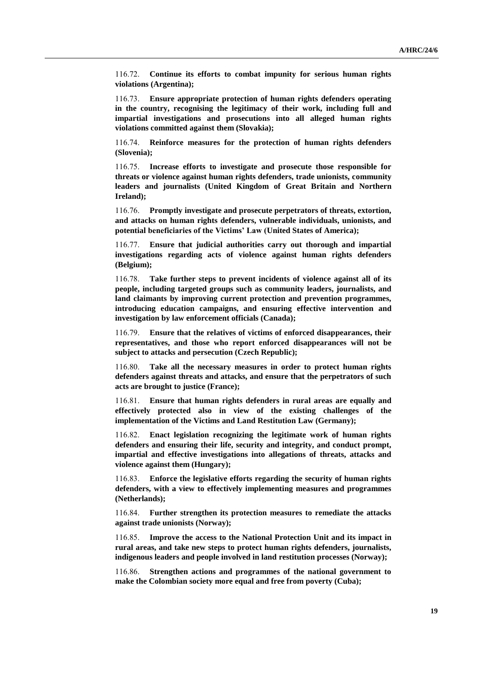116.72. **Continue its efforts to combat impunity for serious human rights violations (Argentina);**

116.73. **Ensure appropriate protection of human rights defenders operating in the country, recognising the legitimacy of their work, including full and impartial investigations and prosecutions into all alleged human rights violations committed against them (Slovakia);**

116.74. **Reinforce measures for the protection of human rights defenders (Slovenia);**

116.75. **Increase efforts to investigate and prosecute those responsible for threats or violence against human rights defenders, trade unionists, community leaders and journalists (United Kingdom of Great Britain and Northern Ireland);**

116.76. **Promptly investigate and prosecute perpetrators of threats, extortion, and attacks on human rights defenders, vulnerable individuals, unionists, and potential beneficiaries of the Victims' Law (United States of America);**

116.77. **Ensure that judicial authorities carry out thorough and impartial investigations regarding acts of violence against human rights defenders (Belgium);**

116.78. **Take further steps to prevent incidents of violence against all of its people, including targeted groups such as community leaders, journalists, and land claimants by improving current protection and prevention programmes, introducing education campaigns, and ensuring effective intervention and investigation by law enforcement officials (Canada);**

116.79. **Ensure that the relatives of victims of enforced disappearances, their representatives, and those who report enforced disappearances will not be subject to attacks and persecution (Czech Republic);**

116.80. **Take all the necessary measures in order to protect human rights defenders against threats and attacks, and ensure that the perpetrators of such acts are brought to justice (France);**

116.81. **Ensure that human rights defenders in rural areas are equally and effectively protected also in view of the existing challenges of the implementation of the Victims and Land Restitution Law (Germany);**

116.82. **Enact legislation recognizing the legitimate work of human rights defenders and ensuring their life, security and integrity, and conduct prompt, impartial and effective investigations into allegations of threats, attacks and violence against them (Hungary);**

116.83. **Enforce the legislative efforts regarding the security of human rights defenders, with a view to effectively implementing measures and programmes (Netherlands);**

116.84. **Further strengthen its protection measures to remediate the attacks against trade unionists (Norway);**

116.85. **Improve the access to the National Protection Unit and its impact in rural areas, and take new steps to protect human rights defenders, journalists, indigenous leaders and people involved in land restitution processes (Norway);**

116.86. **Strengthen actions and programmes of the national government to make the Colombian society more equal and free from poverty (Cuba);**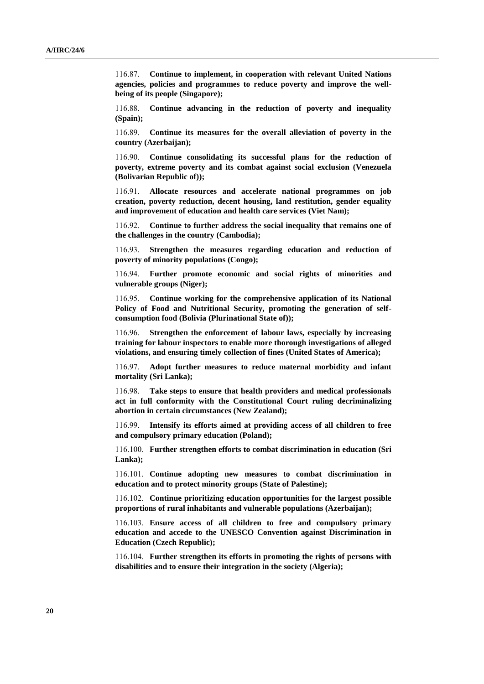116.87. **Continue to implement, in cooperation with relevant United Nations agencies, policies and programmes to reduce poverty and improve the wellbeing of its people (Singapore);**

116.88. **Continue advancing in the reduction of poverty and inequality (Spain);**

116.89. **Continue its measures for the overall alleviation of poverty in the country (Azerbaijan);**

116.90. **Continue consolidating its successful plans for the reduction of poverty, extreme poverty and its combat against social exclusion (Venezuela (Bolivarian Republic of));**

116.91. **Allocate resources and accelerate national programmes on job creation, poverty reduction, decent housing, land restitution, gender equality and improvement of education and health care services (Viet Nam);**

116.92. **Continue to further address the social inequality that remains one of the challenges in the country (Cambodia);**

116.93. **Strengthen the measures regarding education and reduction of poverty of minority populations (Congo);**

116.94. **Further promote economic and social rights of minorities and vulnerable groups (Niger);**

116.95. **Continue working for the comprehensive application of its National Policy of Food and Nutritional Security, promoting the generation of selfconsumption food (Bolivia (Plurinational State of));**

116.96. **Strengthen the enforcement of labour laws, especially by increasing training for labour inspectors to enable more thorough investigations of alleged violations, and ensuring timely collection of fines (United States of America);**

116.97. **Adopt further measures to reduce maternal morbidity and infant mortality (Sri Lanka);**

116.98. **Take steps to ensure that health providers and medical professionals act in full conformity with the Constitutional Court ruling decriminalizing abortion in certain circumstances (New Zealand);**

116.99. **Intensify its efforts aimed at providing access of all children to free and compulsory primary education (Poland);**

116.100. **Further strengthen efforts to combat discrimination in education (Sri Lanka);**

116.101. **Continue adopting new measures to combat discrimination in education and to protect minority groups (State of Palestine);**

116.102. **Continue prioritizing education opportunities for the largest possible proportions of rural inhabitants and vulnerable populations (Azerbaijan);**

116.103. **Ensure access of all children to free and compulsory primary education and accede to the UNESCO Convention against Discrimination in Education (Czech Republic);**

116.104. **Further strengthen its efforts in promoting the rights of persons with disabilities and to ensure their integration in the society (Algeria);**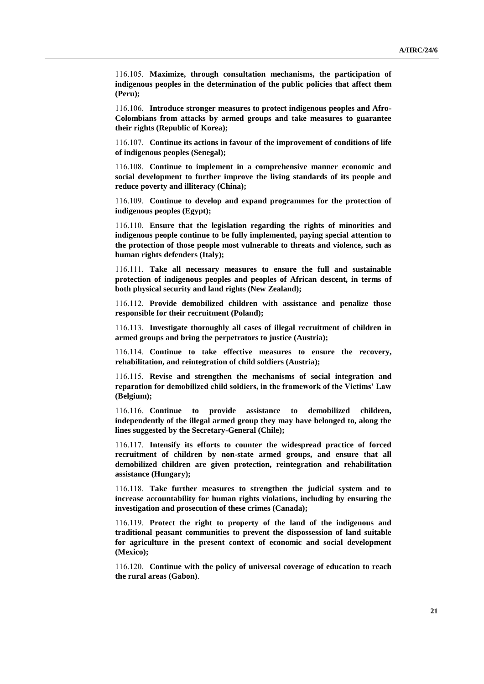116.105. **Maximize, through consultation mechanisms, the participation of indigenous peoples in the determination of the public policies that affect them (Peru);**

116.106. **Introduce stronger measures to protect indigenous peoples and Afro-Colombians from attacks by armed groups and take measures to guarantee their rights (Republic of Korea);**

116.107. **Continue its actions in favour of the improvement of conditions of life of indigenous peoples (Senegal);**

116.108. **Continue to implement in a comprehensive manner economic and social development to further improve the living standards of its people and reduce poverty and illiteracy (China);**

116.109. **Continue to develop and expand programmes for the protection of indigenous peoples (Egypt);**

116.110. **Ensure that the legislation regarding the rights of minorities and indigenous people continue to be fully implemented, paying special attention to the protection of those people most vulnerable to threats and violence, such as human rights defenders (Italy);**

116.111. **Take all necessary measures to ensure the full and sustainable protection of indigenous peoples and peoples of African descent, in terms of both physical security and land rights (New Zealand);**

116.112. **Provide demobilized children with assistance and penalize those responsible for their recruitment (Poland);**

116.113. **Investigate thoroughly all cases of illegal recruitment of children in armed groups and bring the perpetrators to justice (Austria);**

116.114. **Continue to take effective measures to ensure the recovery, rehabilitation, and reintegration of child soldiers (Austria);**

116.115. **Revise and strengthen the mechanisms of social integration and reparation for demobilized child soldiers, in the framework of the Victims' Law (Belgium);**

116.116. **Continue to provide assistance to demobilized children, independently of the illegal armed group they may have belonged to, along the lines suggested by the Secretary-General (Chile);**

116.117. **Intensify its efforts to counter the widespread practice of forced recruitment of children by non-state armed groups, and ensure that all demobilized children are given protection, reintegration and rehabilitation assistance (Hungary);**

116.118. **Take further measures to strengthen the judicial system and to increase accountability for human rights violations, including by ensuring the investigation and prosecution of these crimes (Canada);**

116.119. **Protect the right to property of the land of the indigenous and traditional peasant communities to prevent the dispossession of land suitable for agriculture in the present context of economic and social development (Mexico);**

116.120. **Continue with the policy of universal coverage of education to reach the rural areas (Gabon)**.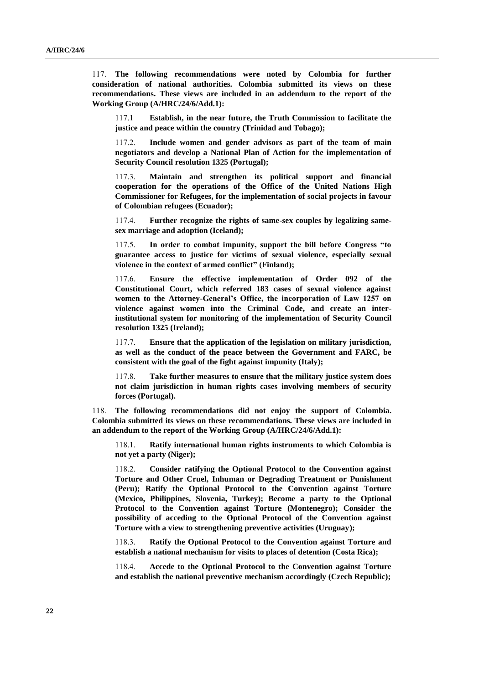117. **The following recommendations were noted by Colombia for further consideration of national authorities. Colombia submitted its views on these recommendations. These views are included in an addendum to the report of the Working Group (A/HRC/24/6/Add.1):**

117.1 **Establish, in the near future, the Truth Commission to facilitate the justice and peace within the country (Trinidad and Tobago);**

117.2. **Include women and gender advisors as part of the team of main negotiators and develop a National Plan of Action for the implementation of Security Council resolution 1325 (Portugal);**

117.3. **Maintain and strengthen its political support and financial cooperation for the operations of the Office of the United Nations High Commissioner for Refugees, for the implementation of social projects in favour of Colombian refugees (Ecuador);**

117.4. **Further recognize the rights of same-sex couples by legalizing samesex marriage and adoption (Iceland);**

117.5. **In order to combat impunity, support the bill before Congress "to guarantee access to justice for victims of sexual violence, especially sexual violence in the context of armed conflict" (Finland);**

117.6. **Ensure the effective implementation of Order 092 of the Constitutional Court, which referred 183 cases of sexual violence against women to the Attorney-General's Office, the incorporation of Law 1257 on violence against women into the Criminal Code, and create an interinstitutional system for monitoring of the implementation of Security Council resolution 1325 (Ireland);**

117.7. **Ensure that the application of the legislation on military jurisdiction, as well as the conduct of the peace between the Government and FARC, be consistent with the goal of the fight against impunity (Italy);**

117.8. **Take further measures to ensure that the military justice system does not claim jurisdiction in human rights cases involving members of security forces (Portugal).**

118. **The following recommendations did not enjoy the support of Colombia. Colombia submitted its views on these recommendations. These views are included in an addendum to the report of the Working Group (A/HRC/24/6/Add.1):**

118.1. **Ratify international human rights instruments to which Colombia is not yet a party (Niger);**

118.2. **Consider ratifying the Optional Protocol to the Convention against Torture and Other Cruel, Inhuman or Degrading Treatment or Punishment (Peru); Ratify the Optional Protocol to the Convention against Torture (Mexico, Philippines, Slovenia, Turkey); Become a party to the Optional Protocol to the Convention against Torture (Montenegro); Consider the possibility of acceding to the Optional Protocol of the Convention against Torture with a view to strengthening preventive activities (Uruguay);**

118.3. **Ratify the Optional Protocol to the Convention against Torture and establish a national mechanism for visits to places of detention (Costa Rica);**

118.4. **Accede to the Optional Protocol to the Convention against Torture and establish the national preventive mechanism accordingly (Czech Republic);**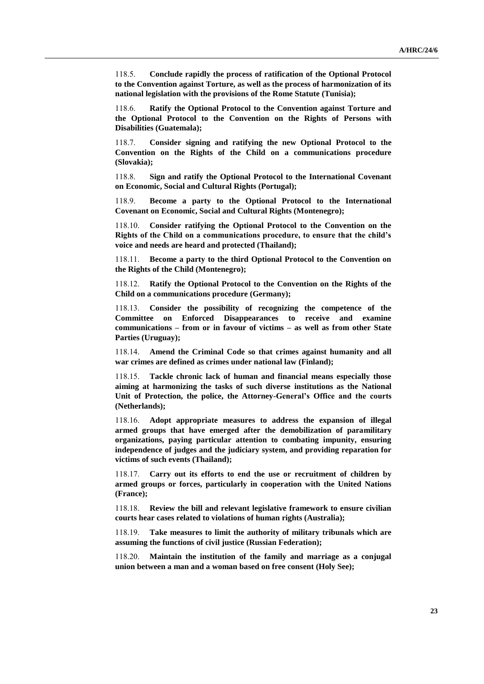118.5. **Conclude rapidly the process of ratification of the Optional Protocol to the Convention against Torture, as well as the process of harmonization of its national legislation with the provisions of the Rome Statute (Tunisia);**

118.6. **Ratify the Optional Protocol to the Convention against Torture and the Optional Protocol to the Convention on the Rights of Persons with Disabilities (Guatemala);**

118.7. **Consider signing and ratifying the new Optional Protocol to the Convention on the Rights of the Child on a communications procedure (Slovakia);**

118.8. **Sign and ratify the Optional Protocol to the International Covenant on Economic, Social and Cultural Rights (Portugal);**

118.9. **Become a party to the Optional Protocol to the International Covenant on Economic, Social and Cultural Rights (Montenegro);**

118.10. **Consider ratifying the Optional Protocol to the Convention on the Rights of the Child on a communications procedure, to ensure that the child's voice and needs are heard and protected (Thailand);**

118.11. **Become a party to the third Optional Protocol to the Convention on the Rights of the Child (Montenegro);**

118.12. **Ratify the Optional Protocol to the Convention on the Rights of the Child on a communications procedure (Germany);**

118.13. **Consider the possibility of recognizing the competence of the Committee on Enforced Disappearances to receive and examine communications – from or in favour of victims – as well as from other State Parties (Uruguay);**

118.14. **Amend the Criminal Code so that crimes against humanity and all war crimes are defined as crimes under national law (Finland);**

118.15. **Tackle chronic lack of human and financial means especially those aiming at harmonizing the tasks of such diverse institutions as the National Unit of Protection, the police, the Attorney-General's Office and the courts (Netherlands);**

118.16. **Adopt appropriate measures to address the expansion of illegal armed groups that have emerged after the demobilization of paramilitary organizations, paying particular attention to combating impunity, ensuring independence of judges and the judiciary system, and providing reparation for victims of such events (Thailand);**

118.17. **Carry out its efforts to end the use or recruitment of children by armed groups or forces, particularly in cooperation with the United Nations (France);**

118.18. **Review the bill and relevant legislative framework to ensure civilian courts hear cases related to violations of human rights (Australia);**

118.19. **Take measures to limit the authority of military tribunals which are assuming the functions of civil justice (Russian Federation);**

118.20. **Maintain the institution of the family and marriage as a conjugal union between a man and a woman based on free consent (Holy See);**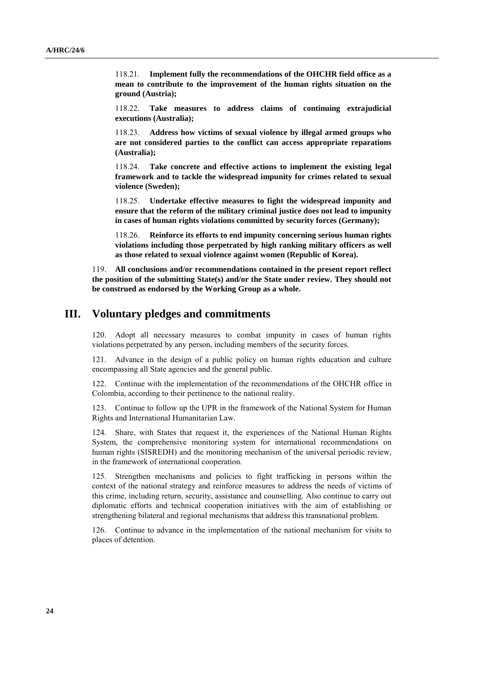118.21. **Implement fully the recommendations of the OHCHR field office as a mean to contribute to the improvement of the human rights situation on the ground (Austria);**

118.22. **Take measures to address claims of continuing extrajudicial executions (Australia);**

118.23. **Address how victims of sexual violence by illegal armed groups who are not considered parties to the conflict can access appropriate reparations (Australia);**

118.24. **Take concrete and effective actions to implement the existing legal framework and to tackle the widespread impunity for crimes related to sexual violence (Sweden);**

118.25. **Undertake effective measures to fight the widespread impunity and ensure that the reform of the military criminal justice does not lead to impunity in cases of human rights violations committed by security forces (Germany);**

118.26. **Reinforce its efforts to end impunity concerning serious human rights violations including those perpetrated by high ranking military officers as well as those related to sexual violence against women (Republic of Korea).**

119. **All conclusions and/or recommendations contained in the present report reflect the position of the submitting State(s) and/or the State under review. They should not be construed as endorsed by the Working Group as a whole.**

## **III. Voluntary pledges and commitments**

120. Adopt all necessary measures to combat impunity in cases of human rights violations perpetrated by any person, including members of the security forces.

121. Advance in the design of a public policy on human rights education and culture encompassing all State agencies and the general public.

122. Continue with the implementation of the recommendations of the OHCHR office in Colombia, according to their pertinence to the national reality.

123. Continue to follow up the UPR in the framework of the National System for Human Rights and International Humanitarian Law.

124. Share, with States that request it, the experiences of the National Human Rights System, the comprehensive monitoring system for international recommendations on human rights (SISREDH) and the monitoring mechanism of the universal periodic review, in the framework of international cooperation.

125. Strengthen mechanisms and policies to fight trafficking in persons within the context of the national strategy and reinforce measures to address the needs of victims of this crime, including return, security, assistance and counselling. Also continue to carry out diplomatic efforts and technical cooperation initiatives with the aim of establishing or strengthening bilateral and regional mechanisms that address this transnational problem.

126. Continue to advance in the implementation of the national mechanism for visits to places of detention.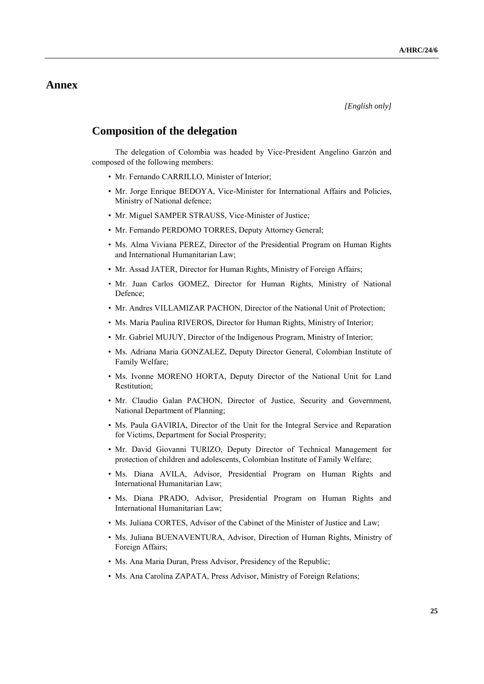# **Annex**

*[English only]*

# **Composition of the delegation**

The delegation of Colombia was headed by Vice-President Angelino Garzón and composed of the following members:

- Mr. Fernando CARRILLO, Minister of Interior;
- Mr. Jorge Enrique BEDOYA, Vice-Minister for International Affairs and Policies, Ministry of National defence;
- Mr. Miguel SAMPER STRAUSS, Vice-Minister of Justice;
- Mr. Fernando PERDOMO TORRES, Deputy Attorney General;
- Ms. Alma Viviana PEREZ, Director of the Presidential Program on Human Rights and International Humanitarian Law;
- Mr. Assad JATER, Director for Human Rights, Ministry of Foreign Affairs;
- Mr. Juan Carlos GOMEZ, Director for Human Rights, Ministry of National Defence;
- Mr. Andres VILLAMIZAR PACHON, Director of the National Unit of Protection;
- Ms. Maria Paulina RIVEROS, Director for Human Rights, Ministry of Interior;
- Mr. Gabriel MUJUY, Director of the Indigenous Program, Ministry of Interior;
- Ms. Adriana Maria GONZALEZ, Deputy Director General, Colombian Institute of Family Welfare;
- Ms. Ivonne MORENO HORTA, Deputy Director of the National Unit for Land Restitution;
- Mr. Claudio Galan PACHON, Director of Justice, Security and Government, National Department of Planning;
- Ms. Paula GAVIRIA, Director of the Unit for the Integral Service and Reparation for Victims, Department for Social Prosperity;
- Mr. David Giovanni TURIZO, Deputy Director of Technical Management for protection of children and adolescents, Colombian Institute of Family Welfare;
- Ms. Diana AVILA, Advisor, Presidential Program on Human Rights and International Humanitarian Law;
- Ms. Diana PRADO, Advisor, Presidential Program on Human Rights and International Humanitarian Law;
- Ms. Juliana CORTES, Advisor of the Cabinet of the Minister of Justice and Law;
- Ms. Juliana BUENAVENTURA, Advisor, Direction of Human Rights, Ministry of Foreign Affairs;
- Ms. Ana Maria Duran, Press Advisor, Presidency of the Republic;
- Ms. Ana Carolina ZAPATA, Press Advisor, Ministry of Foreign Relations;